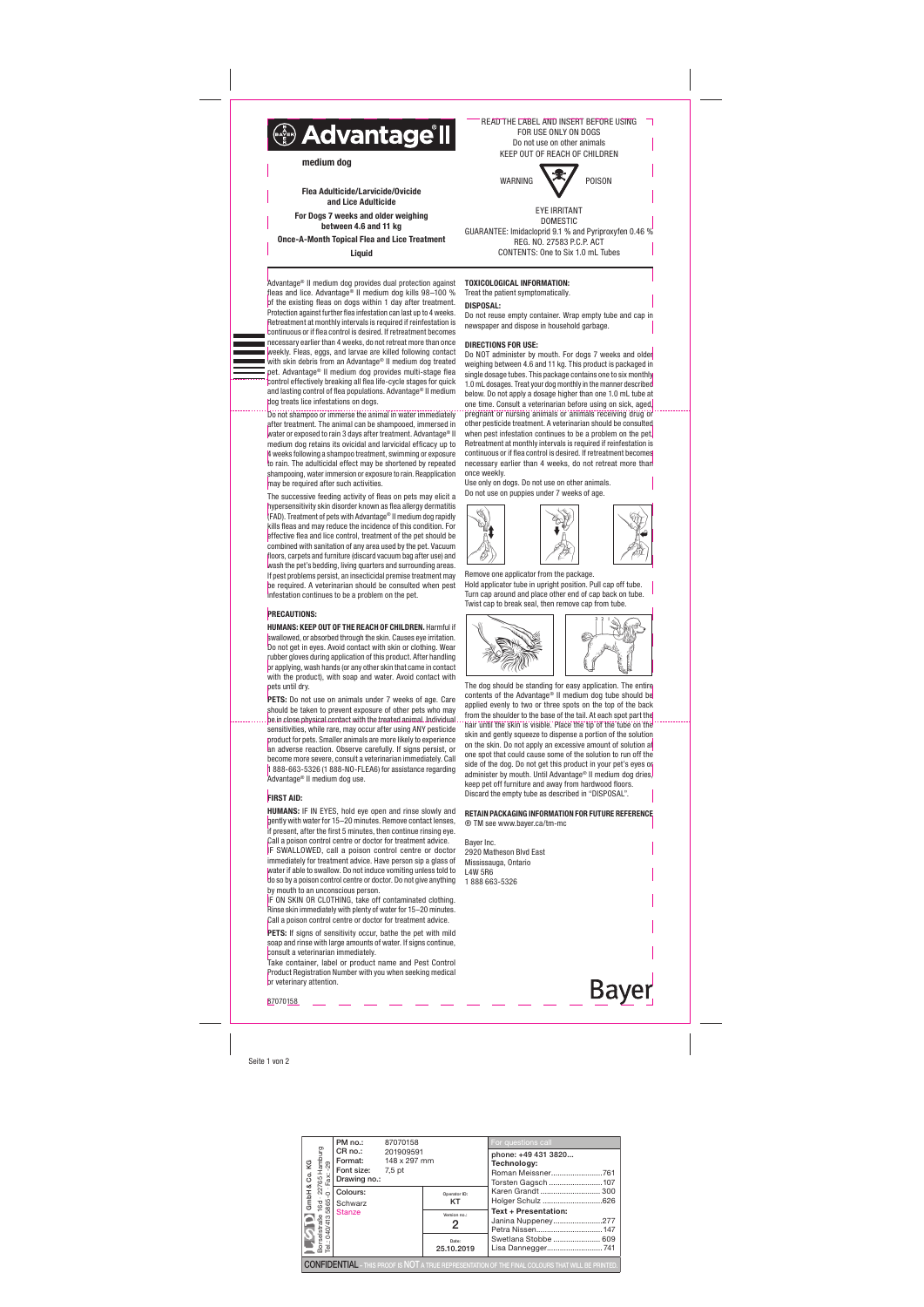Seite 1 von 2

of the existing fleas on dogs within 1 day after treatment. Protection against further flea infestation can last up to 4 weeks. Retreatment at monthly intervals is required if reinfestation is



and lasting control of flea populations. Advantage® II medium

Do not shampoo or immerse the animal in water immediately after treatment. The animal can be shampooed, immersed in water or exposed to rain 3 days after treatment. Advantage® II medium dog retains its ovicidal and larvicidal efficacy up to 4 weeks following a shampoo treatment, swimming or exposure to rain. The adulticidal effect may be shortened by repeated shampooing, water immersion or exposure to rain. Reapplication

dog treats lice infestations on dogs.

may be required after such activities.

PETS: Do not use on animals under 7 weeks of age. Care should be taken to prevent exposure of other pets who may be in close physical contact with the treated animal. Individual sensitivities, while rare, may occur after using ANY pesticide product for pets. Smaller animals are more likely to experience an adverse reaction. Observe carefully. If signs persist, or become more severe, consult a veterinarian immediately. Call 1 888-663-5326 (1 888-NO-FLEA6) for assistance regarding Advantage® II medium dog use.

# **FIRST AID:**



be required. A veterinarian should be consulted when pest infestation continues to be a problem on the pet.

PRECAUTIONS:

#### Advantage® II medium dog provides dual protection against fleas and lice. Advantage® II medium dog kills 98–100 % TOXICOLOGICAL INFORMATION:

HUMANS: KEEP OUT OF THE REACH OF CHILDREN. Harmful if swallowed, or absorbed through the skin. Causes eye irritation. Do not get in eyes. Avoid contact with skin or clothing. Wear rubber gloves during application of this product. After handling or applying, wash hands (or any other skin that came in contact with the product), with soap and water. Avoid contact with pets until dry.

Do NOT administer by mouth. For dogs 7 weeks and older weighing between 4.6 and 11 kg. This product is packaged in single dosage tubes. This package contains one to six monthly 1.0 mL dosages. Treat your dog monthly in the manner described below. Do not apply a dosage higher than one 1.0 mL tube at one time. Consult a veterinarian before using on sick, aged, pregnant or nursing animals or animals receiving drug or other pesticide treatment. A veterinarian should be consulted when pest infestation continues to be a problem on the pet. Retreatment at monthly intervals is required if reinfestation is continuous or if flea control is desired. If retreatment becomes necessary earlier than 4 weeks, do not retreat more than once weekly.

HUMANS: IF IN EYES, hold eye open and rinse slowly and gently with water for 15–20 minutes. Remove contact lenses, if present, after the first 5 minutes, then continue rinsing eye.

Treat the patient symptomatically.

DISPOSAL: Do not reuse empty container. Wrap empty tube and cap in newspaper and dispose in household garbage.

# DIRECTIONS FOR USE:

Call a poison control centre or doctor for treatment advice. Bayer Inc. IF SWALLOWED, call a poison control centre or doctor 2920 Matheson Blvd East immediately for treatment advice. Have person sin a glass of Mississauga, Ontario water if able to swallow. Do not induce vomiting unless told to L4W 5R6 do so by a poison control centre or doctor. Do not give anything 1 888 663-5326 by mouth to an unconscious person. IF ON SKIN OR CLOTHING, take off contaminated clothing. Rinse skin immediately with plenty of water for 15–20 minutes. Call a poison control centre or doctor for treatment advice. PETS: If signs of sensitivity occur, bathe the pet with mild soap and rinse with large amounts of water. If signs continue, consult a veterinarian immediately. Take container, label or product name and Pest Control Product Registration Number with you when seeking medical **Bayer** or veterinary attention. 87070158

Use only on dogs. Do not use on other animals. Do not use on puppies under 7 weeks of age.

Remove one applicator from the package. Hold applicator tube in upright position. Pull cap off tube. Turn cap around and place other end of cap back on tube. Twist cap to break seal, then remove cap from tube.



The dog should be standing for easy application. The entire contents of the Advantage® II medium dog tube should be applied evenly to two or three spots on the top of the back from the shoulder to the base of the tail. At each spot part the hair until the skin is visible. Place the tip of the tube on the skin and gently squeeze to dispense a portion of the solution on the skin. Do not apply an excessive amount of solution at one spot that could cause some of the solution to run off the side of the dog. Do not get this product in your pet's eyes on administer by mouth. Until Advantage® II medium dog dries, keep pet off furniture and away from hardwood floors. Discard the empty tube as described in "DISPOSAL".

# RETAIN PACKAGING INFORMATION FOR FUTURE REFERENCE ® TM see www.bayer.ca/tm-mc

READ THE LABEL AND INSERT BEFORE USING



DOMESTIC GUARANTEE: Imidacloprid 9.1 % and Pyriproxyfen 0.46 % REG. NO. 27583 P.C.P. ACT CONTENTS: One to Six 1.0 mL Tubes

Flea Adulticide/Larvicide/Ovicide and Lice Adulticide For Dogs 7 weeks and older weighing between 4.6 and 11 kg Once-A-Month Topical Flea and Lice Treatment

**Liquid** 

| Q<br>Ġ.                        | PM no.:                                                                                                  | 87070158<br>201909591<br>148 x 297 mm |                     | For questions call<br>phone: +49 431 3820              |  |  |  |  |  |
|--------------------------------|----------------------------------------------------------------------------------------------------------|---------------------------------------|---------------------|--------------------------------------------------------|--|--|--|--|--|
|                                | Font size: 7,5 pt<br>Drawing no.:                                                                        |                                       |                     | Technology:<br>Roman Meissner761<br>Torsten Gagsch 107 |  |  |  |  |  |
| ∞<br>GmbH                      |                                                                                                          |                                       | Operator ID:<br>KT  | Karen Grandt  300<br>Holger Schulz 626                 |  |  |  |  |  |
|                                |                                                                                                          |                                       | Version no.:<br>2   | <b>Text + Presentation:</b><br>Janina Nuppeney277      |  |  |  |  |  |
| Borselstraße<br>Tel.: 040/4135 |                                                                                                          |                                       | Date:<br>25.10.2019 | Swetlana Stobbe  609                                   |  |  |  |  |  |
|                                | <b>CONFIDENTIAL</b> – THIS PROOF IS NOT A TRUE REPRESENTATION OF THE FINAL COLOURS THAT WILL BE PRINTED. |                                       |                     |                                                        |  |  |  |  |  |



medium dog